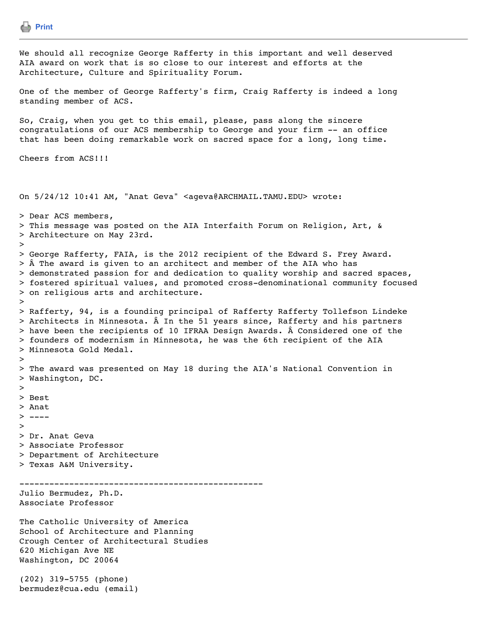```
Print
We should all recognize George Rafferty in this important and well deserved
AIA award on work that is so close to our interest and efforts at the
Architecture, Culture and Spirituality Forum.
One of the member of George Rafferty's firm, Craig Rafferty is indeed a long
standing member of ACS.
So, Craig, when you get to this email, please, pass along the sincere
congratulations of our ACS membership to George and your firm -- an office
that has been doing remarkable work on sacred space for a long, long time.
Cheers from ACS!!!
On 5/24/12 10:41 AM, "Anat Geva" <ageva@ARCHMAIL.TAMU.EDU> wrote:
> Dear ACS members,
> This message was posted on the AIA Interfaith Forum on Religion, Art, &
> Architecture on May 23rd.
> 
> George Rafferty, FAIA, is the 2012 recipient of the Edward S. Frey Award.
> Â The award is given to an architect and member of the AIA who has
> demonstrated passion for and dedication to quality worship and sacred spaces,
> fostered spiritual values, and promoted cross-denominational community focused
> on religious arts and architecture.
> 
> Rafferty, 94, is a founding principal of Rafferty Rafferty Tollefson Lindeke
> Architects in Minnesota. \hat{A} In the 51 years since, Rafferty and his partners
> have been the recipients of 10 IFRAA Design Awards. Â Considered one of the
> founders of modernism in Minnesota, he was the 6th recipient of the AIA
> Minnesota Gold Medal.
>> The award was presented on May 18 during the AIA's National Convention in
> Washington, DC.
> 
> Best
> Anat
> - - - -> 
> Dr. Anat Geva
> Associate Professor
> Department of Architecture
> Texas A&M University.
-------------------------------------------------
Julio Bermudez, Ph.D.
Associate Professor
The Catholic University of America
School of Architecture and Planning
Crough Center of Architectural Studies
620 Michigan Ave NE
Washington, DC 20064
(202) 319-5755 (phone)
bermudez@cua.edu (email)
```